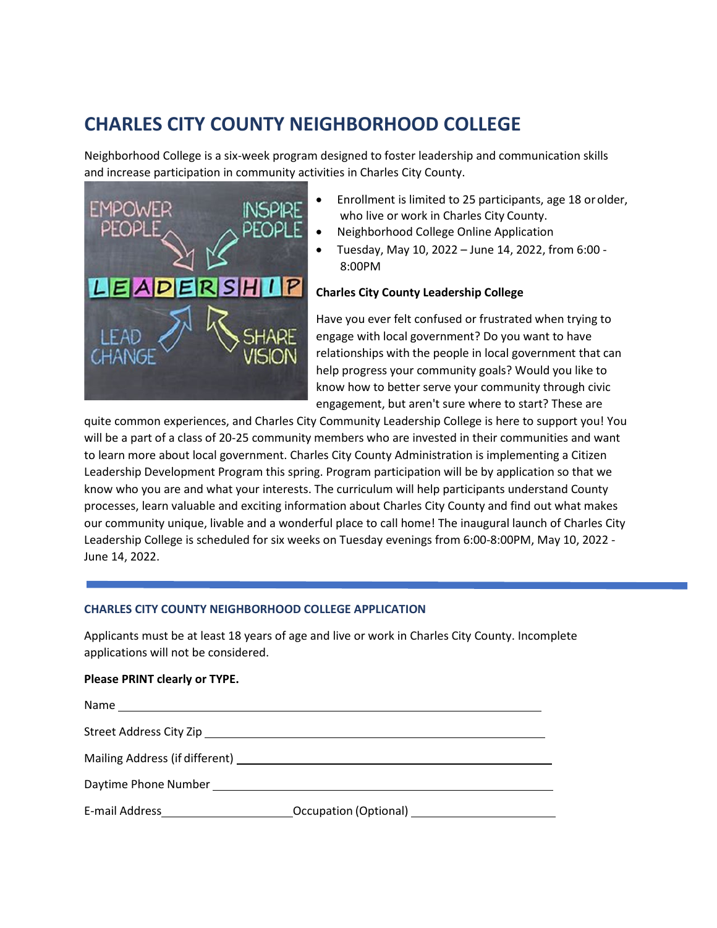# **CHARLES CITY COUNTY NEIGHBORHOOD COLLEGE**

Neighborhood College is a six-week program designed to foster leadership and communication skills and increase participation in community activities in Charles City County.



- Enrollment is limited to 25 participants, age 18 orolder, who live or work in Charles City County.
- Neighborhood College Online Application
- Tuesday, May 10, 2022 June 14, 2022, from 6:00 8:00PM

### **Charles City County Leadership College**

Have you ever felt confused or frustrated when trying to engage with local government? Do you want to have relationships with the people in local government that can help progress your community goals? Would you like to know how to better serve your community through civic engagement, but aren't sure where to start? These are

quite common experiences, and Charles City Community Leadership College is here to support you! You will be a part of a class of 20-25 community members who are invested in their communities and want to learn more about local government. Charles City County Administration is implementing a Citizen Leadership Development Program this spring. Program participation will be by application so that we know who you are and what your interests. The curriculum will help participants understand County processes, learn valuable and exciting information about Charles City County and find out what makes our community unique, livable and a wonderful place to call home! The inaugural launch of Charles City Leadership College is scheduled for six weeks on Tuesday evenings from 6:00-8:00PM, May 10, 2022 - June 14, 2022.

#### **CHARLES CITY COUNTY NEIGHBORHOOD COLLEGE APPLICATION**

Applicants must be at least 18 years of age and live or work in Charles City County. Incomplete applications will not be considered.

#### **Please PRINT clearly or TYPE.**

| Mailing Address (if different) Mailing Address (if different) |  |
|---------------------------------------------------------------|--|
| Daytime Phone Number                                          |  |
|                                                               |  |